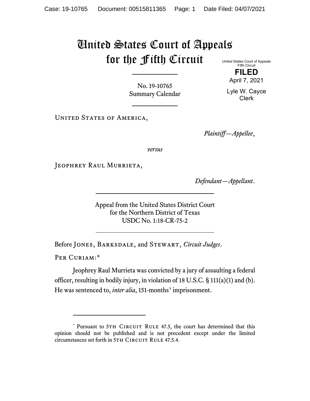## United States Court of Appeals for the Fifth Circuit United States Court of Appeals

Fifth Circuit **FILED**

April 7, 2021

Lyle W. Cayce Clerk

No. 19-10765 Summary Calendar

UNITED STATES OF AMERICA,

*Plaintiff—Appellee*,

*versus*

JEOPHREY RAUL MURRIETA,

*Defendant—Appellant*.

Appeal from the United States District Court for the Northern District of Texas USDC No. 1:18-CR-75-2

Before Jones, Barksdale, and Stewart, *Circuit Judges*.

PER CURIAM:[\\*](#page-0-0)

Jeophrey Raul Murrieta was convicted by a jury of assaulting a federal officer, resulting in bodily injury, in violation of 18 U.S.C. § 111(a)(1) and (b). He was sentenced to, *inter alia*, 151-months' imprisonment.

<span id="page-0-0"></span><sup>\*</sup> Pursuant to 5TH CIRCUIT RULE 47.5, the court has determined that this opinion should not be published and is not precedent except under the limited circumstances set forth in 5TH CIRCUIT RULE 47.5.4.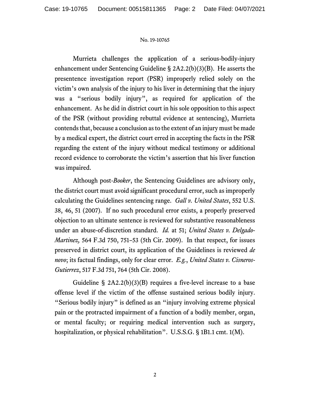## No. 19-10765

Murrieta challenges the application of a serious-bodily-injury enhancement under Sentencing Guideline § 2A2.2(b)(3)(B). He asserts the presentence investigation report (PSR) improperly relied solely on the victim's own analysis of the injury to his liver in determining that the injury was a "serious bodily injury", as required for application of the enhancement. As he did in district court in his sole opposition to this aspect of the PSR (without providing rebuttal evidence at sentencing), Murrieta contends that, because a conclusion as to the extent of an injury must be made by a medical expert, the district court erred in accepting the facts in the PSR regarding the extent of the injury without medical testimony or additional record evidence to corroborate the victim's assertion that his liver function was impaired.

Although post-*Booker*, the Sentencing Guidelines are advisory only, the district court must avoid significant procedural error, such as improperly calculating the Guidelines sentencing range. *Gall v. United States*, 552 U.S. 38, 46, 51 (2007). If no such procedural error exists, a properly preserved objection to an ultimate sentence is reviewed for substantive reasonableness under an abuse-of-discretion standard. *Id.* at 51; *United States v. Delgado-Martinez,* 564 F.3d 750, 751–53 (5th Cir. 2009). In that respect, for issues preserved in district court, its application of the Guidelines is reviewed *de novo*; its factual findings, only for clear error. *E.g.*, *United States v. Cisneros-Gutierrez*, 517 F.3d 751, 764 (5th Cir. 2008).

Guideline  $\S$  2A2.2(b)(3)(B) requires a five-level increase to a base offense level if the victim of the offense sustained serious bodily injury. "Serious bodily injury" is defined as an "injury involving extreme physical pain or the protracted impairment of a function of a bodily member, organ, or mental faculty; or requiring medical intervention such as surgery, hospitalization, or physical rehabilitation". U.S.S.G. § 1B1.1 cmt. 1(M).